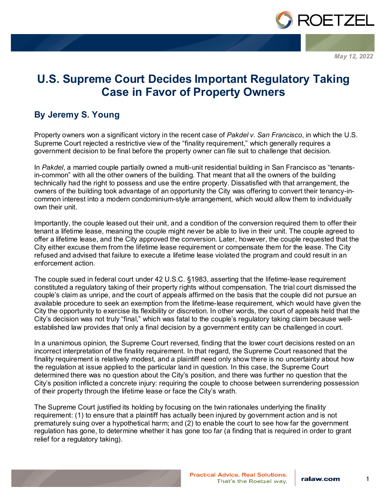

*May 12, 2022*

## **U.S. Supreme Court Decides Important Regulatory Taking Case in Favor of Property Owners**

## **By Jeremy S. Young**

Property owners won a significant victory in the recent case of *Pakdel v. San Francisco*, in which the U.S. Supreme Court rejected a restrictive view of the "finality requirement," which generally requires a government decision to be final before the property owner can file suit to challenge that decision.

In *Pakdel*, a married couple partially owned a multi-unit residential building in San Francisco as "tenantsin-common" with all the other owners of the building. That meant that all the owners of the building technically had the right to possess and use the entire property. Dissatisfied with that arrangement, the owners of the building took advantage of an opportunity the City was offering to convert their tenancy-incommon interest into a modern condominium-style arrangement, which would allow them to individually own their unit.

Importantly, the couple leased out their unit, and a condition of the conversion required them to offer their tenant a lifetime lease, meaning the couple might never be able to live in their unit. The couple agreed to offer a lifetime lease, and the City approved the conversion. Later, however, the couple requested that the City either excuse them from the lifetime lease requirement or compensate them for the lease. The City refused and advised that failure to execute a lifetime lease violated the program and could result in an enforcement action.

The couple sued in federal court under 42 U.S.C. §1983, asserting that the lifetime-lease requirement constituted a regulatory taking of their property rights without compensation. The trial court dismissed the couple's claim as unripe, and the court of appeals affirmed on the basis that the couple did not pursue an available procedure to seek an exemption from the lifetime-lease requirement, which would have given the City the opportunity to exercise its flexibility or discretion. In other words, the court of appeals held that the City's decision was not truly "final," which was fatal to the couple's regulatory taking claim because wellestablished law provides that only a final decision by a government entity can be challenged in court.

In a unanimous opinion, the Supreme Court reversed, finding that the lower court decisions rested on an incorrect interpretation of the finality requirement. In that regard, the Supreme Court reasoned that the finality requirement is relatively modest, and a plaintiff need only show there is no uncertainty about how the regulation at issue applied to the particular land in question. In this case, the Supreme Court determined there was no question about the City's position, and there was further no question that the City's position inflicted a concrete injury: requiring the couple to choose between surrendering possession of their property through the lifetime lease or face the City's wrath.

The Supreme Court justified its holding by focusing on the twin rationales underlying the finality requirement: (1) to ensure that a plaintiff has actually been injured by government action and is not prematurely suing over a hypothetical harm; and (2) to enable the court to see how far the government regulation has gone, to determine whether it has gone too far (a finding that is required in order to grant relief for a regulatory taking).